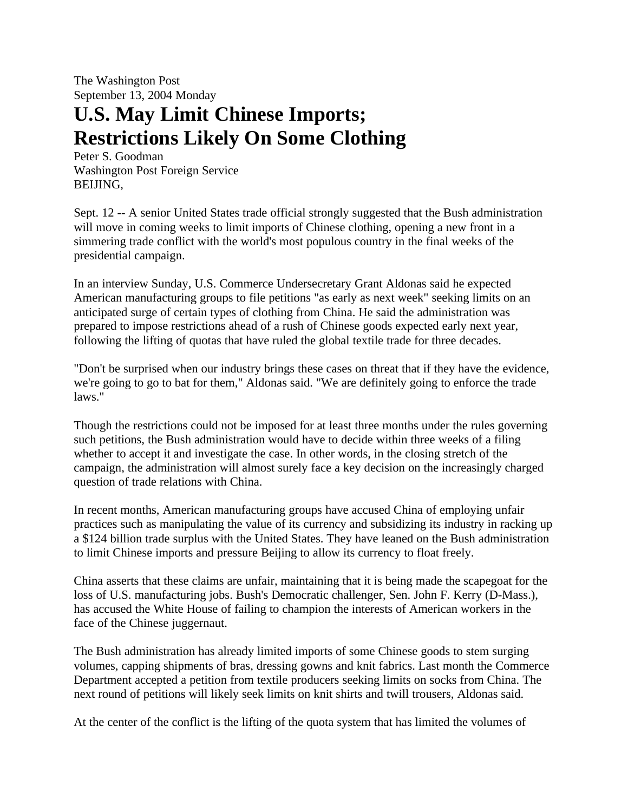The Washington Post September 13, 2004 Monday

## **U.S. May Limit Chinese Imports; Restrictions Likely On Some Clothing**

Peter S. Goodman Washington Post Foreign Service BEIJING,

Sept. 12 -- A senior United States trade official strongly suggested that the Bush administration will move in coming weeks to limit imports of Chinese clothing, opening a new front in a simmering trade conflict with the world's most populous country in the final weeks of the presidential campaign.

In an interview Sunday, U.S. Commerce Undersecretary Grant Aldonas said he expected American manufacturing groups to file petitions "as early as next week" seeking limits on an anticipated surge of certain types of clothing from China. He said the administration was prepared to impose restrictions ahead of a rush of Chinese goods expected early next year, following the lifting of quotas that have ruled the global textile trade for three decades.

"Don't be surprised when our industry brings these cases on threat that if they have the evidence, we're going to go to bat for them," Aldonas said. "We are definitely going to enforce the trade laws."

Though the restrictions could not be imposed for at least three months under the rules governing such petitions, the Bush administration would have to decide within three weeks of a filing whether to accept it and investigate the case. In other words, in the closing stretch of the campaign, the administration will almost surely face a key decision on the increasingly charged question of trade relations with China.

In recent months, American manufacturing groups have accused China of employing unfair practices such as manipulating the value of its currency and subsidizing its industry in racking up a \$124 billion trade surplus with the United States. They have leaned on the Bush administration to limit Chinese imports and pressure Beijing to allow its currency to float freely.

China asserts that these claims are unfair, maintaining that it is being made the scapegoat for the loss of U.S. manufacturing jobs. Bush's Democratic challenger, Sen. John F. Kerry (D-Mass.), has accused the White House of failing to champion the interests of American workers in the face of the Chinese juggernaut.

The Bush administration has already limited imports of some Chinese goods to stem surging volumes, capping shipments of bras, dressing gowns and knit fabrics. Last month the Commerce Department accepted a petition from textile producers seeking limits on socks from China. The next round of petitions will likely seek limits on knit shirts and twill trousers, Aldonas said.

At the center of the conflict is the lifting of the quota system that has limited the volumes of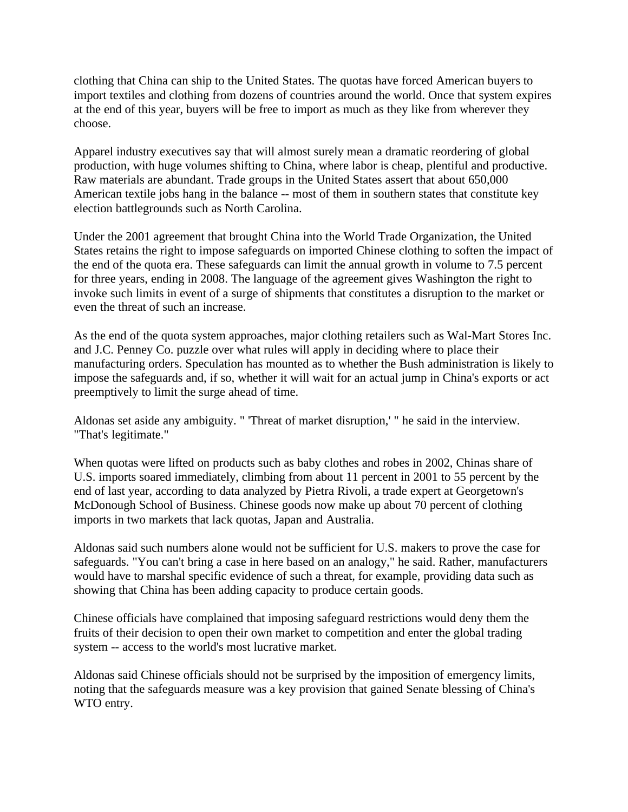clothing that China can ship to the United States. The quotas have forced American buyers to import textiles and clothing from dozens of countries around the world. Once that system expires at the end of this year, buyers will be free to import as much as they like from wherever they choose.

Apparel industry executives say that will almost surely mean a dramatic reordering of global production, with huge volumes shifting to China, where labor is cheap, plentiful and productive. Raw materials are abundant. Trade groups in the United States assert that about 650,000 American textile jobs hang in the balance -- most of them in southern states that constitute key election battlegrounds such as North Carolina.

Under the 2001 agreement that brought China into the World Trade Organization, the United States retains the right to impose safeguards on imported Chinese clothing to soften the impact of the end of the quota era. These safeguards can limit the annual growth in volume to 7.5 percent for three years, ending in 2008. The language of the agreement gives Washington the right to invoke such limits in event of a surge of shipments that constitutes a disruption to the market or even the threat of such an increase.

As the end of the quota system approaches, major clothing retailers such as Wal-Mart Stores Inc. and J.C. Penney Co. puzzle over what rules will apply in deciding where to place their manufacturing orders. Speculation has mounted as to whether the Bush administration is likely to impose the safeguards and, if so, whether it will wait for an actual jump in China's exports or act preemptively to limit the surge ahead of time.

Aldonas set aside any ambiguity. " 'Threat of market disruption,' " he said in the interview. "That's legitimate."

When quotas were lifted on products such as baby clothes and robes in 2002, Chinas share of U.S. imports soared immediately, climbing from about 11 percent in 2001 to 55 percent by the end of last year, according to data analyzed by Pietra Rivoli, a trade expert at Georgetown's McDonough School of Business. Chinese goods now make up about 70 percent of clothing imports in two markets that lack quotas, Japan and Australia.

Aldonas said such numbers alone would not be sufficient for U.S. makers to prove the case for safeguards. "You can't bring a case in here based on an analogy," he said. Rather, manufacturers would have to marshal specific evidence of such a threat, for example, providing data such as showing that China has been adding capacity to produce certain goods.

Chinese officials have complained that imposing safeguard restrictions would deny them the fruits of their decision to open their own market to competition and enter the global trading system -- access to the world's most lucrative market.

Aldonas said Chinese officials should not be surprised by the imposition of emergency limits, noting that the safeguards measure was a key provision that gained Senate blessing of China's WTO entry.